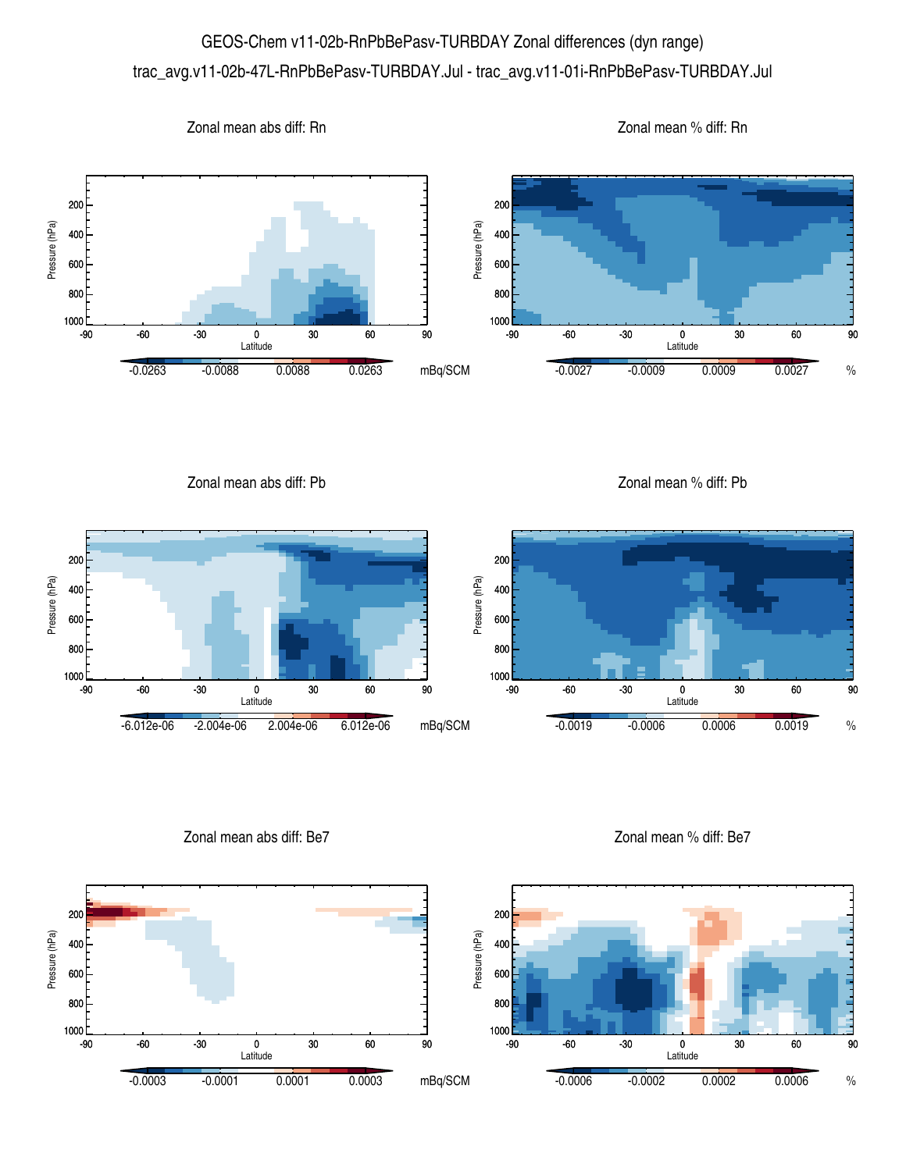## GEOS-Chem v11-02b-RnPbBePasv-TURBDAY Zonal differences (dyn range) trac\_avg.v11-02b-47L-RnPbBePasv-TURBDAY.Jul - trac\_avg.v11-01i-RnPbBePasv-TURBDAY.Jul



Zonal mean abs diff: Pb

Zonal mean % diff: Pb



Zonal mean abs diff: Be7

Zonal mean % diff: Be7